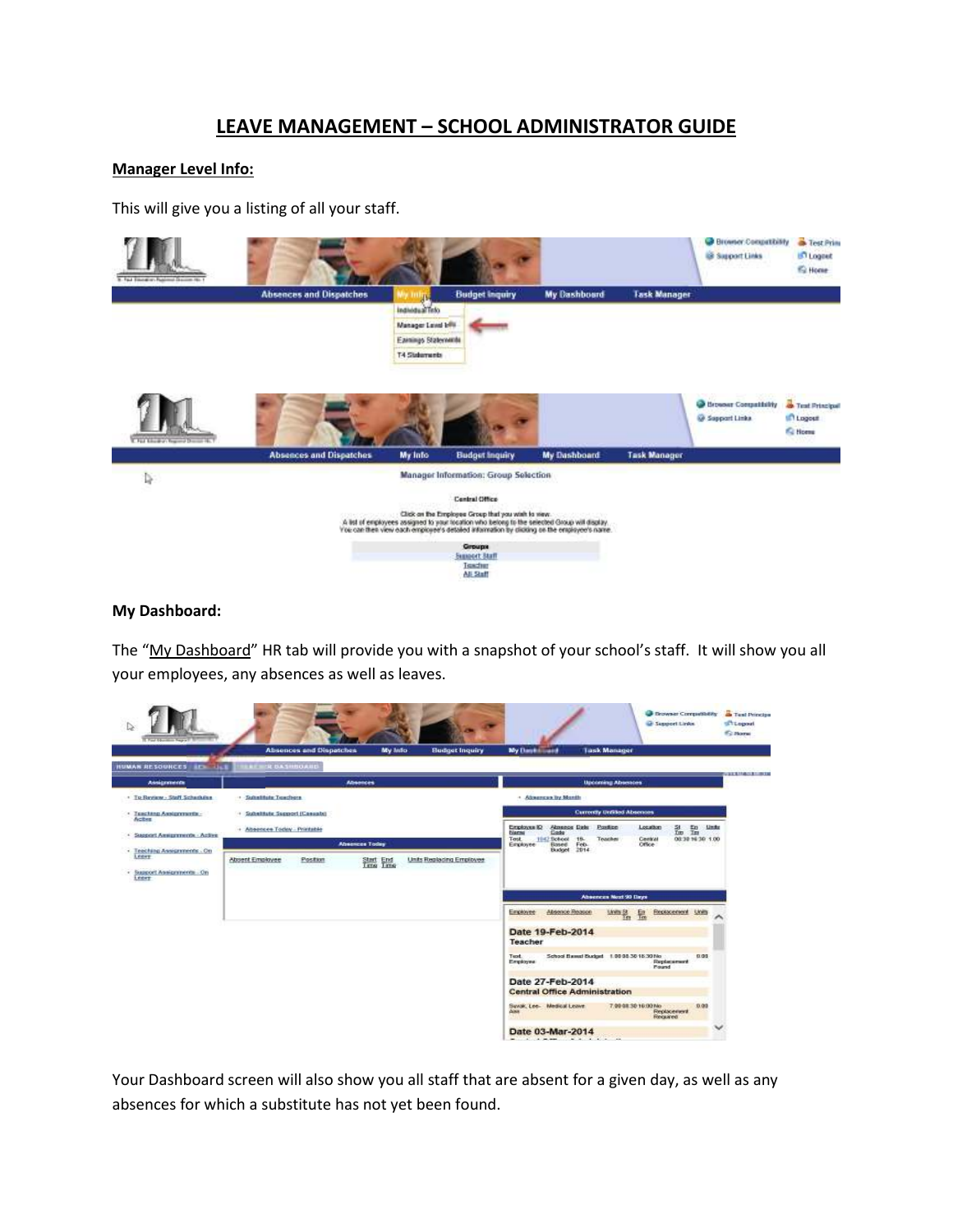## **LEAVE MANAGEMENT – SCHOOL ADMINISTRATOR GUIDE**

#### **Manager Level Info:**

This will give you a listing of all your staff.



#### **My Dashboard:**

The "My Dashboard" HR tab will provide you with a snapshot of your school's staff. It will show you all your employees, any absences as well as leaves.

| Absonces<br><b>Upcoming Absences</b><br>Assignments<br>· To Review - Staff Schedules<br>- Substitute Teachers<br>+ Absences by Month<br><b>Currently Unfilled Absences</b><br>· Teaching Assignments -<br>+ Substitute Support (Casuabi)<br>Actes<br><b>Almance Date</b> Ponting<br>Employee ID<br>Location<br>乱盟<br>- Absences Today - Printable<br><b>blanne</b><br>Cade<br>Support Amigraturos - Active<br>Test<br>TEL: School<br>Teacher<br>Central<br>18-<br><b>Absences Today</b><br>Feb.<br>Office<br>Employee<br><b>Based</b><br>Budget 2014<br>- Teaching Assignments - On<br>Leevy<br>Units Replacing Employee<br>Absent Employee<br>Postant<br>Start End | <b>CONTRACTOR</b><br><b>Limits</b><br>08:30:16:30:1.00<br>Absences Next 90 Days<br>Absence Register<br>Employee<br>$Thus B$<br>Replacement Units<br>舃<br>Date 19-Feb-2014<br>Teacher | <b>HUMAN RESOURCES</b><br><b>Article Advised</b> | <b>ERF ER BASHHOARD</b> |  | <b>Budget Inquiry</b><br>My lefo | <b>My Dave Limited</b> |                                      | <b>Task Manager</b> |      |  |
|---------------------------------------------------------------------------------------------------------------------------------------------------------------------------------------------------------------------------------------------------------------------------------------------------------------------------------------------------------------------------------------------------------------------------------------------------------------------------------------------------------------------------------------------------------------------------------------------------------------------------------------------------------------------|--------------------------------------------------------------------------------------------------------------------------------------------------------------------------------------|--------------------------------------------------|-------------------------|--|----------------------------------|------------------------|--------------------------------------|---------------------|------|--|
|                                                                                                                                                                                                                                                                                                                                                                                                                                                                                                                                                                                                                                                                     |                                                                                                                                                                                      |                                                  |                         |  |                                  |                        |                                      |                     |      |  |
|                                                                                                                                                                                                                                                                                                                                                                                                                                                                                                                                                                                                                                                                     |                                                                                                                                                                                      |                                                  |                         |  |                                  |                        |                                      |                     |      |  |
|                                                                                                                                                                                                                                                                                                                                                                                                                                                                                                                                                                                                                                                                     |                                                                                                                                                                                      |                                                  |                         |  |                                  |                        |                                      |                     |      |  |
|                                                                                                                                                                                                                                                                                                                                                                                                                                                                                                                                                                                                                                                                     |                                                                                                                                                                                      |                                                  |                         |  |                                  |                        |                                      |                     |      |  |
|                                                                                                                                                                                                                                                                                                                                                                                                                                                                                                                                                                                                                                                                     |                                                                                                                                                                                      |                                                  |                         |  |                                  |                        |                                      |                     |      |  |
|                                                                                                                                                                                                                                                                                                                                                                                                                                                                                                                                                                                                                                                                     |                                                                                                                                                                                      | - Support Assignments - On<br>Edit               |                         |  |                                  |                        |                                      |                     |      |  |
|                                                                                                                                                                                                                                                                                                                                                                                                                                                                                                                                                                                                                                                                     |                                                                                                                                                                                      |                                                  |                         |  |                                  |                        |                                      |                     |      |  |
|                                                                                                                                                                                                                                                                                                                                                                                                                                                                                                                                                                                                                                                                     |                                                                                                                                                                                      |                                                  |                         |  |                                  |                        |                                      |                     |      |  |
|                                                                                                                                                                                                                                                                                                                                                                                                                                                                                                                                                                                                                                                                     |                                                                                                                                                                                      |                                                  |                         |  |                                  |                        |                                      |                     |      |  |
| Tust.<br>School Eased Budget 1.00 08:30 15:30 No.<br>Employee<br>Replacement<br>Pound                                                                                                                                                                                                                                                                                                                                                                                                                                                                                                                                                                               |                                                                                                                                                                                      |                                                  |                         |  |                                  |                        |                                      |                     | 0.00 |  |
|                                                                                                                                                                                                                                                                                                                                                                                                                                                                                                                                                                                                                                                                     |                                                                                                                                                                                      |                                                  |                         |  |                                  |                        | Date 27-Feb-2014                     |                     |      |  |
|                                                                                                                                                                                                                                                                                                                                                                                                                                                                                                                                                                                                                                                                     |                                                                                                                                                                                      |                                                  |                         |  |                                  |                        |                                      |                     |      |  |
|                                                                                                                                                                                                                                                                                                                                                                                                                                                                                                                                                                                                                                                                     |                                                                                                                                                                                      |                                                  |                         |  |                                  |                        | <b>Central Office Administration</b> |                     |      |  |

Your Dashboard screen will also show you all staff that are absent for a given day, as well as any absences for which a substitute has not yet been found.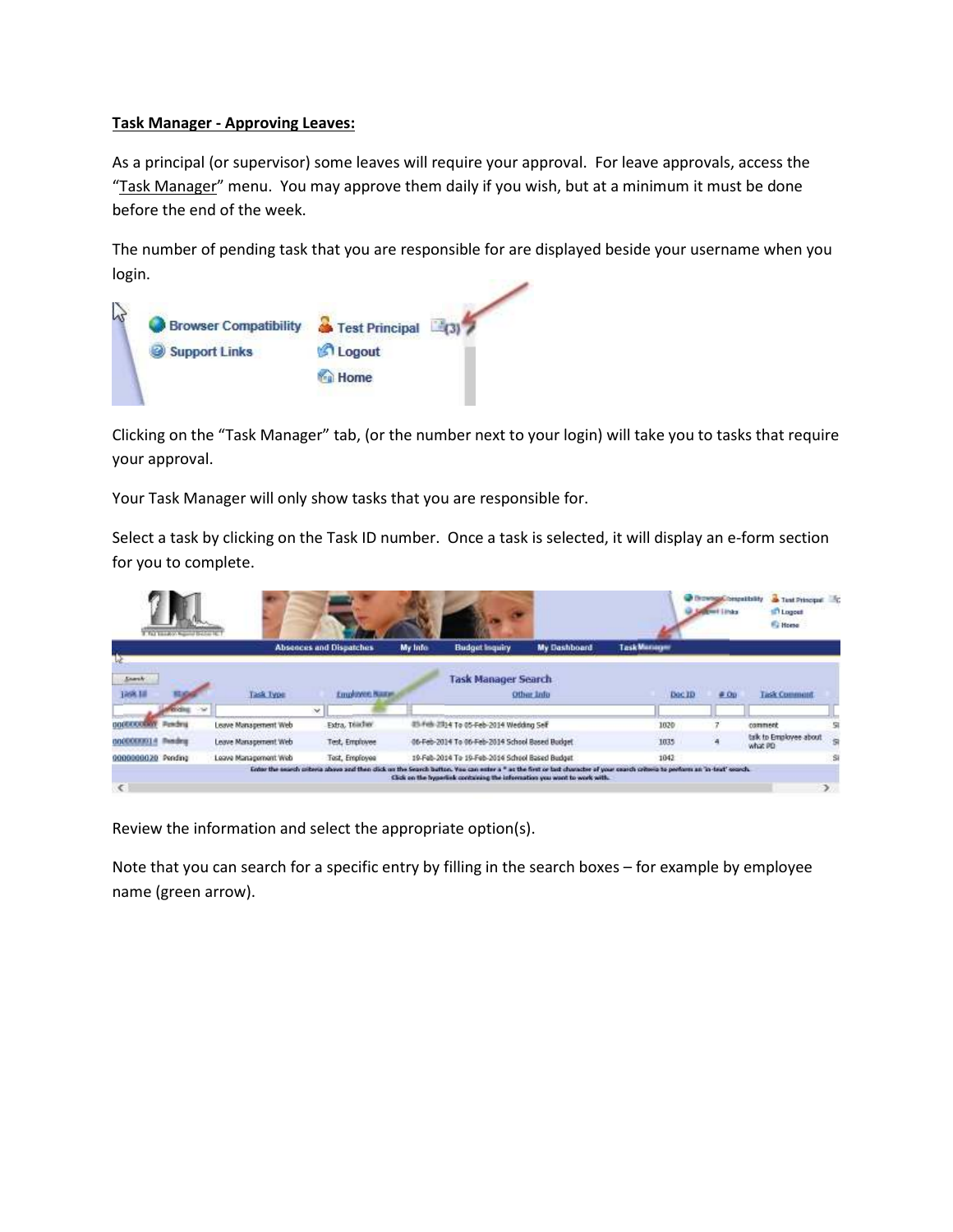### **Task Manager - Approving Leaves:**

As a principal (or supervisor) some leaves will require your approval. For leave approvals, access the "Task Manager" menu. You may approve them daily if you wish, but at a minimum it must be done before the end of the week.

The number of pending task that you are responsible for are displayed beside your username when you login.



Clicking on the "Task Manager" tab, (or the number next to your login) will take you to tasks that require your approval.

Your Task Manager will only show tasks that you are responsible for.

Select a task by clicking on the Task ID number. Once a task is selected, it will display an e-form section for you to complete.

|                          | F. Fall Streeters, National Bacher St. |                      |                                |         |                                                |                                                                          |                                                                                                                                                                             | <b>Drowngal bespatistic</b><br><b>Wed Lindex</b> | <b>a</b> Test Principal <b>E</b><br><b>Logout</b><br><b>Fu Home</b> |               |
|--------------------------|----------------------------------------|----------------------|--------------------------------|---------|------------------------------------------------|--------------------------------------------------------------------------|-----------------------------------------------------------------------------------------------------------------------------------------------------------------------------|--------------------------------------------------|---------------------------------------------------------------------|---------------|
|                          |                                        |                      | <b>Absences and Dispatches</b> | My Info | <b>Budget Isquiry</b>                          | My Dashboard                                                             | <b>Task Manager</b>                                                                                                                                                         |                                                  |                                                                     |               |
| <b>Energy</b><br>1888.18 |                                        | Task Type<br>$\sim$  | Employee Name                  |         | <b>Task Manager Search</b>                     | Other Info                                                               | Doc ID                                                                                                                                                                      | <b>CONTRACTOR</b><br>$#$ Op                      | <b>LAST CONTRACTOR</b><br><b>Task Commont</b>                       |               |
|                          | Powders                                | Leave Management Web | Extra, Telediev                |         | 03-Feb 2014 To 05-Feb-2014 Wedding Self        |                                                                          | 1020                                                                                                                                                                        |                                                  | comment                                                             | e             |
| 000000014                | <b><i><u>Rending</u></i></b>           | Leave Management Web | Test, Employee                 |         | 06-Feb-2014 To 06-Feb-2014 School Based Budget |                                                                          | 1035                                                                                                                                                                        |                                                  | tak to Employee about<br>what PD                                    | S             |
| 0000000020 Pending       |                                        | Leave Management Web | Test, Employee                 |         | 19-Feb-2014 To 19-Feb-2014 School Based Budget |                                                                          | 1042                                                                                                                                                                        |                                                  |                                                                     | Si            |
| €                        |                                        |                      |                                |         |                                                | Click on the hyporlisk containing the information you wont to work with. | Enter the search criteria above and then dick on the Search Button. You can enter a " as the first or but character of your cearch criteria to perform an 'in-text' cearch. |                                                  |                                                                     | $\rightarrow$ |

Review the information and select the appropriate option(s).

Note that you can search for a specific entry by filling in the search boxes – for example by employee name (green arrow).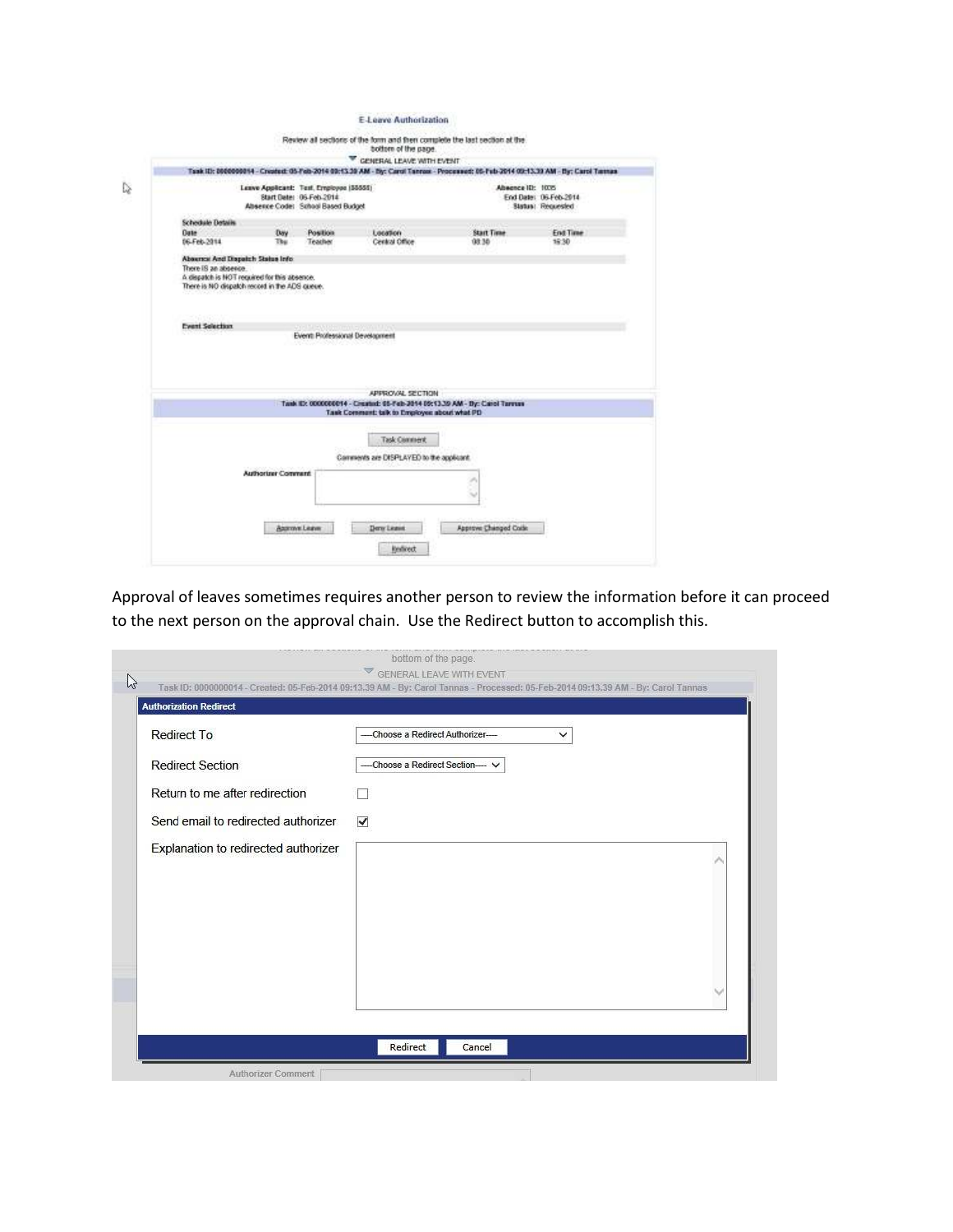E-Leave Authorization

|                                                                                               |                           |                                                                                                         | Task III: 8000000844 - Created: 05-Feb-2014 09:13.39 AM - By: Carol Tannas - Processed: 05-Feb-2014 09:13.39 AM - By: Carol Tannas | Absence ID: 1035  |                                            |
|-----------------------------------------------------------------------------------------------|---------------------------|---------------------------------------------------------------------------------------------------------|------------------------------------------------------------------------------------------------------------------------------------|-------------------|--------------------------------------------|
|                                                                                               |                           | Leave Applicant: Test, Employee (55555)<br>Start Date: 05 Feb 2014<br>Absence Code: School Based Budget |                                                                                                                                    |                   | End Date: 06-Feb-2014<br>Status: Requested |
| <b>Schedule Details</b>                                                                       |                           |                                                                                                         |                                                                                                                                    |                   |                                            |
| <b>Date</b>                                                                                   | Day                       | <b>Position</b>                                                                                         | Location                                                                                                                           | <b>Start Time</b> | <b>End Time</b>                            |
| 06-Feb-2014                                                                                   | Thu:                      | Teacher                                                                                                 | Central Office                                                                                                                     | 08:30             | 15:30                                      |
| A dispatch is NOT required for this absence.<br>There is NO dispatch record in the ADS guese. |                           |                                                                                                         |                                                                                                                                    |                   |                                            |
|                                                                                               |                           |                                                                                                         |                                                                                                                                    |                   |                                            |
| <b>Event Selection</b>                                                                        |                           | Event Professional Development                                                                          |                                                                                                                                    |                   |                                            |
|                                                                                               |                           |                                                                                                         |                                                                                                                                    |                   |                                            |
|                                                                                               |                           |                                                                                                         | APPROVAL SECTION                                                                                                                   |                   |                                            |
|                                                                                               |                           |                                                                                                         | Tank ID: 0000000014 - Created: 05-Feb-2014 05:13.30 AM - Dy: Carol Tarress                                                         |                   |                                            |
|                                                                                               |                           |                                                                                                         | Task Comment: talk to Employee about what PD                                                                                       |                   |                                            |
|                                                                                               |                           |                                                                                                         | Task Connext                                                                                                                       |                   |                                            |
|                                                                                               |                           |                                                                                                         |                                                                                                                                    |                   |                                            |
|                                                                                               |                           |                                                                                                         | Comments are DISPLAYED to the applicant.                                                                                           |                   |                                            |
|                                                                                               | <b>Authorizer Comment</b> |                                                                                                         |                                                                                                                                    |                   |                                            |
|                                                                                               |                           |                                                                                                         |                                                                                                                                    |                   |                                            |
|                                                                                               |                           |                                                                                                         |                                                                                                                                    |                   |                                            |

Approval of leaves sometimes requires another person to review the information before it can proceed to the next person on the approval chain. Use the Redirect button to accomplish this.

| <b>Redirect To</b>                   | -Choose a Redirect Authorizer-<br>◡ |  |
|--------------------------------------|-------------------------------------|--|
| <b>Redirect Section</b>              | -Choose a Redirect Section- V       |  |
| Return to me after redirection       |                                     |  |
| Send email to redirected authorizer  | ✔                                   |  |
| Explanation to redirected authorizer |                                     |  |
|                                      |                                     |  |
|                                      |                                     |  |
|                                      |                                     |  |
|                                      |                                     |  |
|                                      |                                     |  |
|                                      |                                     |  |